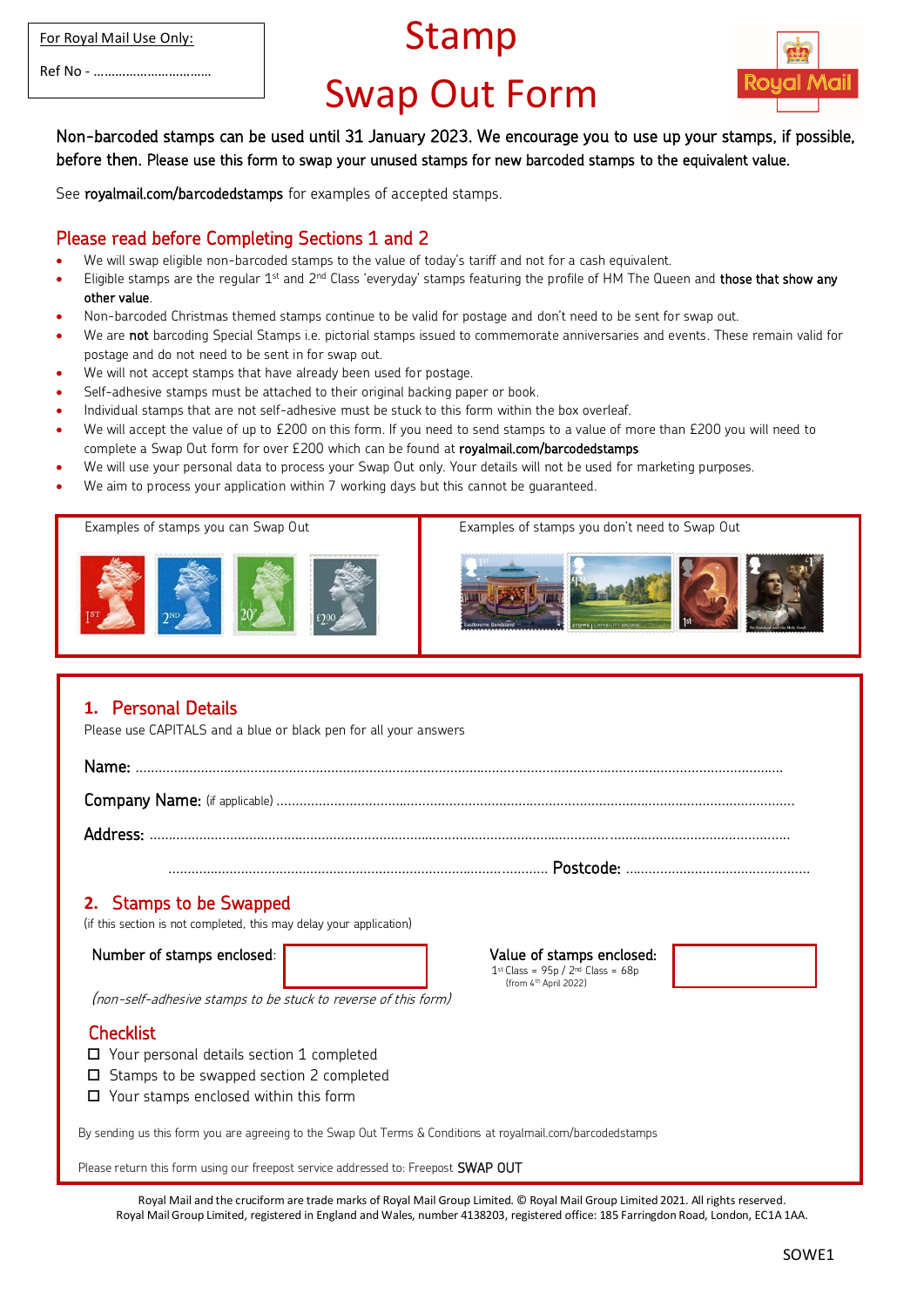|  |  | For Royal Mail Use Only: |
|--|--|--------------------------|
|  |  |                          |

Ref No - ……………………………

## Stamp

## Swap Out Form



Non-barcoded stamps can be used until 31 January 2023. We encourage you to use up your stamps, if possible, before then. Please use this form to swap your unused stamps for new barcoded stamps to the equivalent value.

See royalmail.com/barcodedstamps for examples of accepted stamps.

## Please read before Completing Sections 1 and 2

- We will swap eligible non-barcoded stamps to the value of today's tariff and not for a cash equivalent.
- $\bullet$  Eligible stamps are the regular 1st and 2<sup>nd</sup> Class 'everyday' stamps featuring the profile of HM The Queen and **those that show any** other value.
- Non-barcoded Christmas themed stamps continue to be valid for postage and don't need to be sent for swap out.
- We are not barcoding Special Stamps i.e. pictorial stamps issued to commemorate anniversaries and events. These remain valid for postage and do not need to be sent in for swap out.
- We will not accept stamps that have already been used for postage.
- Self-adhesive stamps must be attached to their original backing paper or book.
- Individual stamps that are not self-adhesive must be stuck to this form within the box overleaf.
- We will accept the value of up to £200 on this form. If you need to send stamps to a value of more than £200 you will need to complete a Swap Out form for over £200 which can be found at royalmail.com/barcodedstamps
- We will use your personal data to process your Swap Out only. Your details will not be used for marketing purposes.
- We aim to process your application within 7 working days but this cannot be guaranteed.



## **1.** Personal Details Please use CAPITALS and a blue or black pen for all your answers Name: ……………………………………………………………………………………………………………………………............................ Company Name: (if applicable) ………………………………………………………………………………………………………………..……. Address: ………………………………………………………………………………………………………………………………………………….. ……………………………………………………………………………………… Postcode: ………………………………………… **2.** Stamps to be Swapped (if this section is not completed, this may delay your application) Number of stamps enclosed: Value of stamps enclosed: 1 st Class = 95p / 2nd Class = 68p (from 4th April 2022) (non-self-adhesive stamps to be stuck to reverse of this form) **Checklist** □ Your personal details section 1 completed  $\square$  Stamps to be swapped section 2 completed □ Your stamps enclosed within this form By sending us this form you are agreeing to the Swap Out Terms & Conditions at royalmail.com/barcodedstamps Please return this form using our freepost service addressed to: Freepost SWAP OUT

Royal Mail and the cruciform are trade marks of Royal Mail Group Limited. © Royal Mail Group Limited 2021. All rights reserved. Royal Mail Group Limited, registered in England and Wales, number 4138203, registered office: 185 Farringdon Road, London, EC1A 1AA.